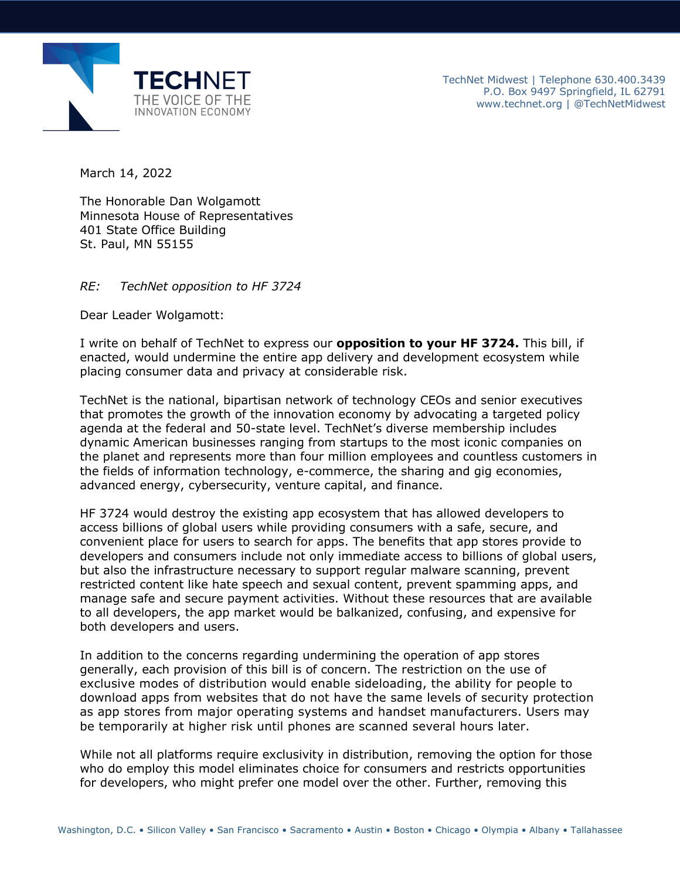

March 14, 2022

The Honorable Dan Wolgamott Minnesota House of Representatives 401 State Office Building St. Paul, MN 55155

## *RE: TechNet opposition to HF 3724*

Dear Leader Wolgamott:

I write on behalf of TechNet to express our **opposition to your HF 3724.** This bill, if enacted, would undermine the entire app delivery and development ecosystem while placing consumer data and privacy at considerable risk.

TechNet is the national, bipartisan network of technology CEOs and senior executives that promotes the growth of the innovation economy by advocating a targeted policy agenda at the federal and 50-state level. TechNet's diverse membership includes dynamic American businesses ranging from startups to the most iconic companies on the planet and represents more than four million employees and countless customers in the fields of information technology, e-commerce, the sharing and gig economies, advanced energy, cybersecurity, venture capital, and finance.

HF 3724 would destroy the existing app ecosystem that has allowed developers to access billions of global users while providing consumers with a safe, secure, and convenient place for users to search for apps. The benefits that app stores provide to developers and consumers include not only immediate access to billions of global users, but also the infrastructure necessary to support regular malware scanning, prevent restricted content like hate speech and sexual content, prevent spamming apps, and manage safe and secure payment activities. Without these resources that are available to all developers, the app market would be balkanized, confusing, and expensive for both developers and users.

In addition to the concerns regarding undermining the operation of app stores generally, each provision of this bill is of concern. The restriction on the use of exclusive modes of distribution would enable sideloading, the ability for people to download apps from websites that do not have the same levels of security protection as app stores from major operating systems and handset manufacturers. Users may be temporarily at higher risk until phones are scanned several hours later.

While not all platforms require exclusivity in distribution, removing the option for those who do employ this model eliminates choice for consumers and restricts opportunities for developers, who might prefer one model over the other. Further, removing this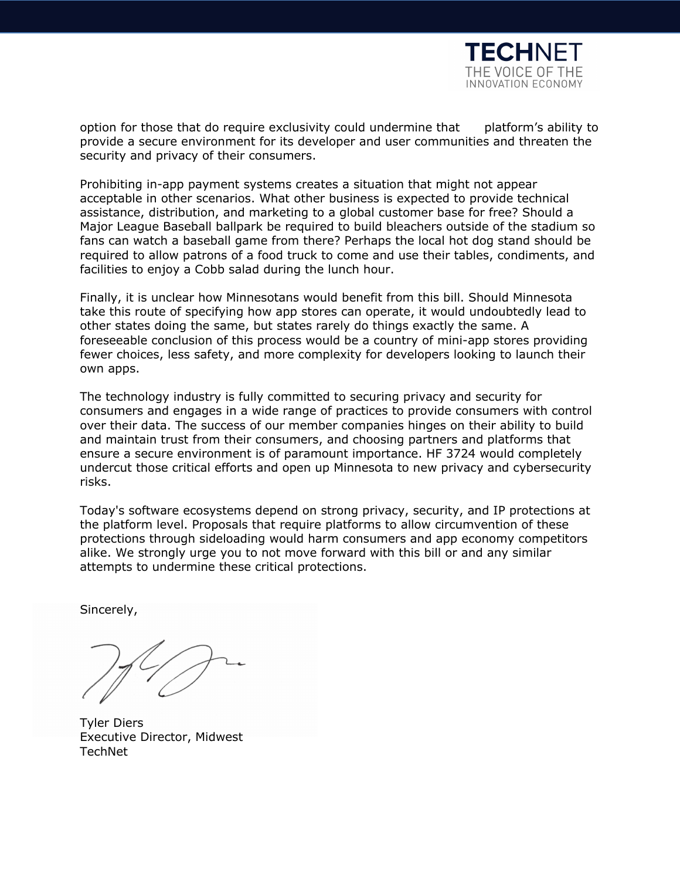

option for those that do require exclusivity could undermine that platform's ability to provide a secure environment for its developer and user communities and threaten the security and privacy of their consumers.

Prohibiting in-app payment systems creates a situation that might not appear acceptable in other scenarios. What other business is expected to provide technical assistance, distribution, and marketing to a global customer base for free? Should a Major League Baseball ballpark be required to build bleachers outside of the stadium so fans can watch a baseball game from there? Perhaps the local hot dog stand should be required to allow patrons of a food truck to come and use their tables, condiments, and facilities to enjoy a Cobb salad during the lunch hour.

Finally, it is unclear how Minnesotans would benefit from this bill. Should Minnesota take this route of specifying how app stores can operate, it would undoubtedly lead to other states doing the same, but states rarely do things exactly the same. A foreseeable conclusion of this process would be a country of mini-app stores providing fewer choices, less safety, and more complexity for developers looking to launch their own apps.

The technology industry is fully committed to securing privacy and security for consumers and engages in a wide range of practices to provide consumers with control over their data. The success of our member companies hinges on their ability to build and maintain trust from their consumers, and choosing partners and platforms that ensure a secure environment is of paramount importance. HF 3724 would completely undercut those critical efforts and open up Minnesota to new privacy and cybersecurity risks.

Today's software ecosystems depend on strong privacy, security, and IP protections at the platform level. Proposals that require platforms to allow circumvention of these protections through sideloading would harm consumers and app economy competitors alike. We strongly urge you to not move forward with this bill or and any similar attempts to undermine these critical protections.

Sincerely,

Tyler Diers Executive Director, Midwest **TechNet**